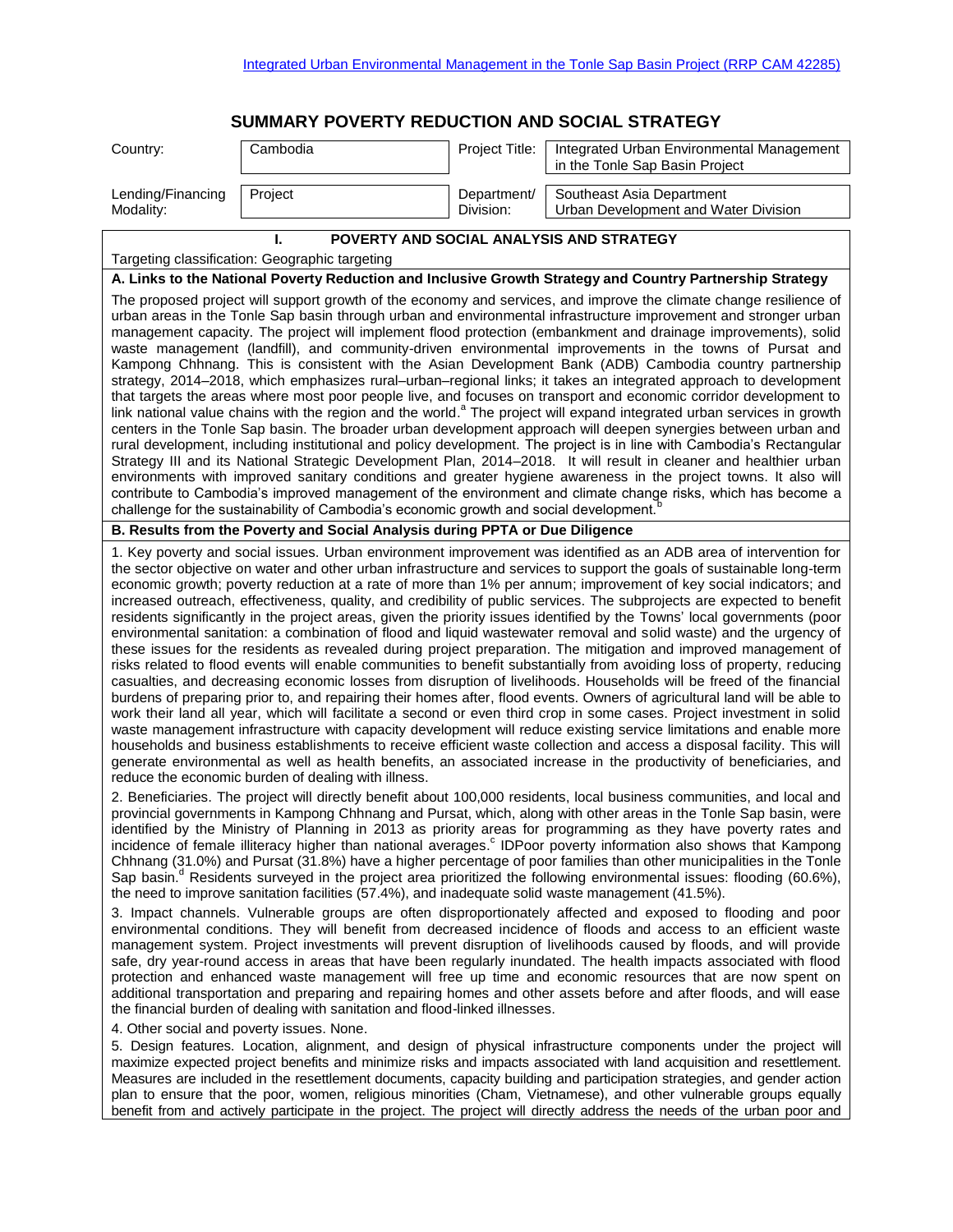## **SUMMARY POVERTY REDUCTION AND SOCIAL STRATEGY**

| Country:                                                                                                                                                                                                                                                                                                                                                                                                                                                                                                                                                                                                                                                                                                                                                                                                                                                                                                                                                                                                                                                                                                                                                                                                                                                                                                                                                                                                                                                                                                                                                                                                                                                                                                                                                                | Cambodia                                                                                                                                                 | Project Title:           | Integrated Urban Environmental Management<br>in the Tonle Sap Basin Project                                                                                                                                                                                                                                                                                                                                                                                                                                                                                                                                                                                                                                                                                                                                                                                                                                                                                                                                                                                                                                                                                                                                                                                                                                                                                                                                                                                                                                                                                                                                                                                                                                                                                                                                                                                                                                                                                                                                                                                                                                                                                                                                                                                                                                                                                                                                                                                                                                      |  |  |
|-------------------------------------------------------------------------------------------------------------------------------------------------------------------------------------------------------------------------------------------------------------------------------------------------------------------------------------------------------------------------------------------------------------------------------------------------------------------------------------------------------------------------------------------------------------------------------------------------------------------------------------------------------------------------------------------------------------------------------------------------------------------------------------------------------------------------------------------------------------------------------------------------------------------------------------------------------------------------------------------------------------------------------------------------------------------------------------------------------------------------------------------------------------------------------------------------------------------------------------------------------------------------------------------------------------------------------------------------------------------------------------------------------------------------------------------------------------------------------------------------------------------------------------------------------------------------------------------------------------------------------------------------------------------------------------------------------------------------------------------------------------------------|----------------------------------------------------------------------------------------------------------------------------------------------------------|--------------------------|------------------------------------------------------------------------------------------------------------------------------------------------------------------------------------------------------------------------------------------------------------------------------------------------------------------------------------------------------------------------------------------------------------------------------------------------------------------------------------------------------------------------------------------------------------------------------------------------------------------------------------------------------------------------------------------------------------------------------------------------------------------------------------------------------------------------------------------------------------------------------------------------------------------------------------------------------------------------------------------------------------------------------------------------------------------------------------------------------------------------------------------------------------------------------------------------------------------------------------------------------------------------------------------------------------------------------------------------------------------------------------------------------------------------------------------------------------------------------------------------------------------------------------------------------------------------------------------------------------------------------------------------------------------------------------------------------------------------------------------------------------------------------------------------------------------------------------------------------------------------------------------------------------------------------------------------------------------------------------------------------------------------------------------------------------------------------------------------------------------------------------------------------------------------------------------------------------------------------------------------------------------------------------------------------------------------------------------------------------------------------------------------------------------------------------------------------------------------------------------------------------------|--|--|
| Lending/Financing<br>Modality:                                                                                                                                                                                                                                                                                                                                                                                                                                                                                                                                                                                                                                                                                                                                                                                                                                                                                                                                                                                                                                                                                                                                                                                                                                                                                                                                                                                                                                                                                                                                                                                                                                                                                                                                          | Project                                                                                                                                                  | Department/<br>Division: | Southeast Asia Department<br>Urban Development and Water Division                                                                                                                                                                                                                                                                                                                                                                                                                                                                                                                                                                                                                                                                                                                                                                                                                                                                                                                                                                                                                                                                                                                                                                                                                                                                                                                                                                                                                                                                                                                                                                                                                                                                                                                                                                                                                                                                                                                                                                                                                                                                                                                                                                                                                                                                                                                                                                                                                                                |  |  |
| POVERTY AND SOCIAL ANALYSIS AND STRATEGY<br>L                                                                                                                                                                                                                                                                                                                                                                                                                                                                                                                                                                                                                                                                                                                                                                                                                                                                                                                                                                                                                                                                                                                                                                                                                                                                                                                                                                                                                                                                                                                                                                                                                                                                                                                           |                                                                                                                                                          |                          |                                                                                                                                                                                                                                                                                                                                                                                                                                                                                                                                                                                                                                                                                                                                                                                                                                                                                                                                                                                                                                                                                                                                                                                                                                                                                                                                                                                                                                                                                                                                                                                                                                                                                                                                                                                                                                                                                                                                                                                                                                                                                                                                                                                                                                                                                                                                                                                                                                                                                                                  |  |  |
| Targeting classification: Geographic targeting                                                                                                                                                                                                                                                                                                                                                                                                                                                                                                                                                                                                                                                                                                                                                                                                                                                                                                                                                                                                                                                                                                                                                                                                                                                                                                                                                                                                                                                                                                                                                                                                                                                                                                                          |                                                                                                                                                          |                          |                                                                                                                                                                                                                                                                                                                                                                                                                                                                                                                                                                                                                                                                                                                                                                                                                                                                                                                                                                                                                                                                                                                                                                                                                                                                                                                                                                                                                                                                                                                                                                                                                                                                                                                                                                                                                                                                                                                                                                                                                                                                                                                                                                                                                                                                                                                                                                                                                                                                                                                  |  |  |
| A. Links to the National Poverty Reduction and Inclusive Growth Strategy and Country Partnership Strategy<br>The proposed project will support growth of the economy and services, and improve the climate change resilience of<br>urban areas in the Tonle Sap basin through urban and environmental infrastructure improvement and stronger urban<br>management capacity. The project will implement flood protection (embankment and drainage improvements), solid<br>waste management (landfill), and community-driven environmental improvements in the towns of Pursat and<br>Kampong Chhnang. This is consistent with the Asian Development Bank (ADB) Cambodia country partnership<br>strategy, 2014-2018, which emphasizes rural-urban-regional links; it takes an integrated approach to development<br>that targets the areas where most poor people live, and focuses on transport and economic corridor development to<br>link national value chains with the region and the world. <sup>a</sup> The project will expand integrated urban services in growth<br>centers in the Tonle Sap basin. The broader urban development approach will deepen synergies between urban and<br>rural development, including institutional and policy development. The project is in line with Cambodia's Rectangular<br>Strategy III and its National Strategic Development Plan, 2014–2018. It will result in cleaner and healthier urban<br>environments with improved sanitary conditions and greater hygiene awareness in the project towns. It also will<br>contribute to Cambodia's improved management of the environment and climate change risks, which has become a<br>challenge for the sustainability of Cambodia's economic growth and social development. |                                                                                                                                                          |                          |                                                                                                                                                                                                                                                                                                                                                                                                                                                                                                                                                                                                                                                                                                                                                                                                                                                                                                                                                                                                                                                                                                                                                                                                                                                                                                                                                                                                                                                                                                                                                                                                                                                                                                                                                                                                                                                                                                                                                                                                                                                                                                                                                                                                                                                                                                                                                                                                                                                                                                                  |  |  |
|                                                                                                                                                                                                                                                                                                                                                                                                                                                                                                                                                                                                                                                                                                                                                                                                                                                                                                                                                                                                                                                                                                                                                                                                                                                                                                                                                                                                                                                                                                                                                                                                                                                                                                                                                                         | B. Results from the Poverty and Social Analysis during PPTA or Due Diligence                                                                             |                          |                                                                                                                                                                                                                                                                                                                                                                                                                                                                                                                                                                                                                                                                                                                                                                                                                                                                                                                                                                                                                                                                                                                                                                                                                                                                                                                                                                                                                                                                                                                                                                                                                                                                                                                                                                                                                                                                                                                                                                                                                                                                                                                                                                                                                                                                                                                                                                                                                                                                                                                  |  |  |
|                                                                                                                                                                                                                                                                                                                                                                                                                                                                                                                                                                                                                                                                                                                                                                                                                                                                                                                                                                                                                                                                                                                                                                                                                                                                                                                                                                                                                                                                                                                                                                                                                                                                                                                                                                         | reduce the economic burden of dealing with illness.<br>the need to improve sanitation facilities (57.4%), and inadequate solid waste management (41.5%). |                          | 1. Key poverty and social issues. Urban environment improvement was identified as an ADB area of intervention for<br>the sector objective on water and other urban infrastructure and services to support the goals of sustainable long-term<br>economic growth; poverty reduction at a rate of more than 1% per annum; improvement of key social indicators; and<br>increased outreach, effectiveness, quality, and credibility of public services. The subprojects are expected to benefit<br>residents significantly in the project areas, given the priority issues identified by the Towns' local governments (poor<br>environmental sanitation: a combination of flood and liquid wastewater removal and solid waste) and the urgency of<br>these issues for the residents as revealed during project preparation. The mitigation and improved management of<br>risks related to flood events will enable communities to benefit substantially from avoiding loss of property, reducing<br>casualties, and decreasing economic losses from disruption of livelihoods. Households will be freed of the financial<br>burdens of preparing prior to, and repairing their homes after, flood events. Owners of agricultural land will be able to<br>work their land all year, which will facilitate a second or even third crop in some cases. Project investment in solid<br>waste management infrastructure with capacity development will reduce existing service limitations and enable more<br>households and business establishments to receive efficient waste collection and access a disposal facility. This will<br>generate environmental as well as health benefits, an associated increase in the productivity of beneficiaries, and<br>2. Beneficiaries. The project will directly benefit about 100,000 residents, local business communities, and local and<br>provincial governments in Kampong Chhnang and Pursat, which, along with other areas in the Tonle Sap basin, were<br>identified by the Ministry of Planning in 2013 as priority areas for programming as they have poverty rates and<br>incidence of female illiteracy higher than national averages. <sup>c</sup> IDPoor poverty information also shows that Kampong<br>Chhnang (31.0%) and Pursat (31.8%) have a higher percentage of poor families than other municipalities in the Tonle<br>Sap basin. <sup>d</sup> Residents surveyed in the project area prioritized the following environmental issues: flooding (60.6%), |  |  |
|                                                                                                                                                                                                                                                                                                                                                                                                                                                                                                                                                                                                                                                                                                                                                                                                                                                                                                                                                                                                                                                                                                                                                                                                                                                                                                                                                                                                                                                                                                                                                                                                                                                                                                                                                                         | the financial burden of dealing with sanitation and flood-linked illnesses.<br>4. Other social and poverty issues. None.                                 |                          | 3. Impact channels. Vulnerable groups are often disproportionately affected and exposed to flooding and poor<br>environmental conditions. They will benefit from decreased incidence of floods and access to an efficient waste<br>management system. Project investments will prevent disruption of livelihoods caused by floods, and will provide<br>safe, dry year-round access in areas that have been regularly inundated. The health impacts associated with flood<br>protection and enhanced waste management will free up time and economic resources that are now spent on<br>additional transportation and preparing and repairing homes and other assets before and after floods, and will ease<br>5. Design features. Location, alignment, and design of physical infrastructure components under the project will<br>maximize expected project benefits and minimize risks and impacts associated with land acquisition and resettlement.<br>Measures are included in the resettlement documents, capacity building and participation strategies, and gender action<br>plan to ensure that the poor, women, religious minorities (Cham, Vietnamese), and other vulnerable groups equally<br>benefit from and actively participate in the project. The project will directly address the needs of the urban poor and                                                                                                                                                                                                                                                                                                                                                                                                                                                                                                                                                                                                                                                                                                                                                                                                                                                                                                                                                                                                                                                                                                                                                                                 |  |  |
|                                                                                                                                                                                                                                                                                                                                                                                                                                                                                                                                                                                                                                                                                                                                                                                                                                                                                                                                                                                                                                                                                                                                                                                                                                                                                                                                                                                                                                                                                                                                                                                                                                                                                                                                                                         |                                                                                                                                                          |                          |                                                                                                                                                                                                                                                                                                                                                                                                                                                                                                                                                                                                                                                                                                                                                                                                                                                                                                                                                                                                                                                                                                                                                                                                                                                                                                                                                                                                                                                                                                                                                                                                                                                                                                                                                                                                                                                                                                                                                                                                                                                                                                                                                                                                                                                                                                                                                                                                                                                                                                                  |  |  |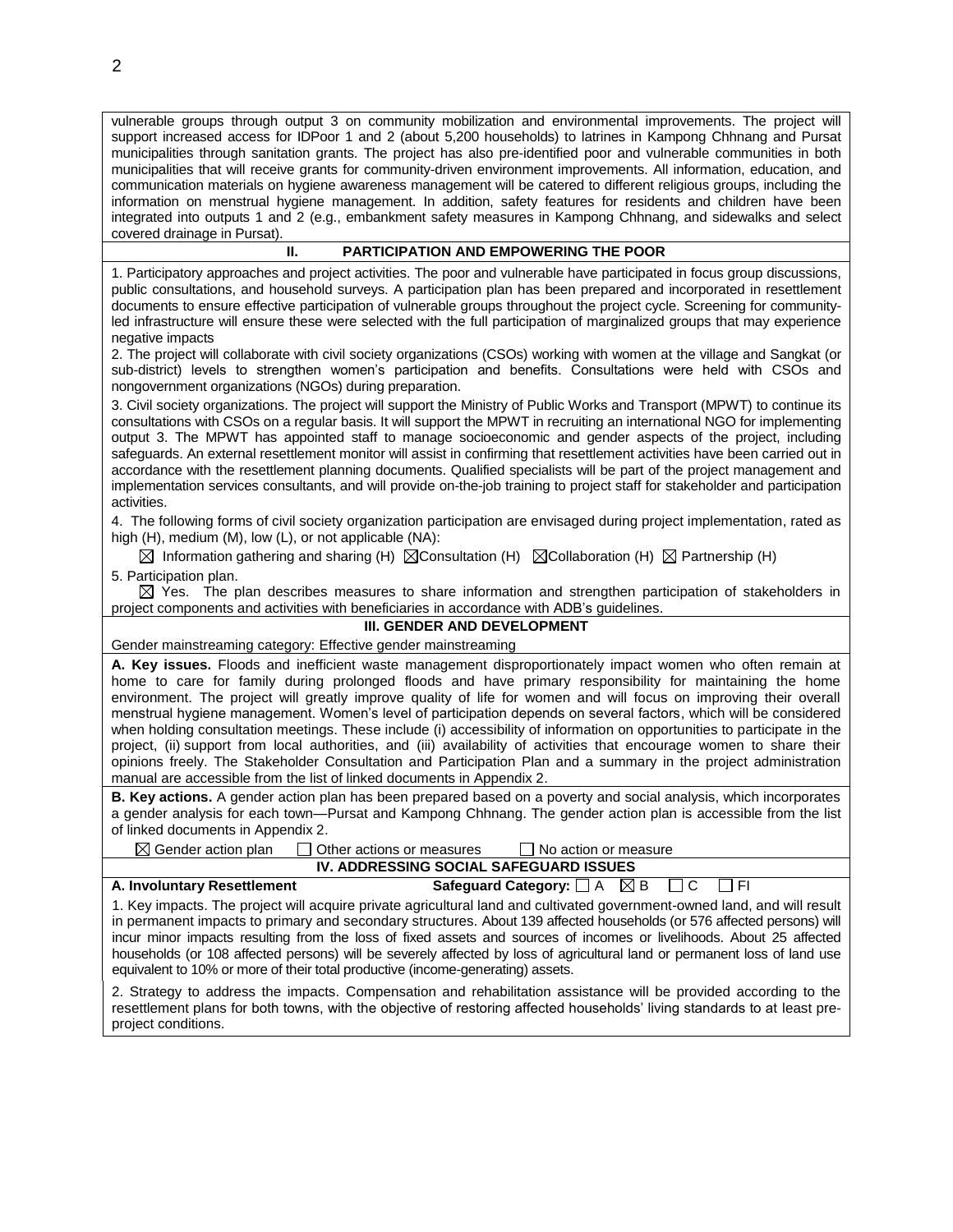vulnerable groups through output 3 on community mobilization and environmental improvements. The project will support increased access for IDPoor 1 and 2 (about 5,200 households) to latrines in Kampong Chhnang and Pursat municipalities through sanitation grants. The project has also pre-identified poor and vulnerable communities in both municipalities that will receive grants for community-driven environment improvements. All information, education, and communication materials on hygiene awareness management will be catered to different religious groups, including the information on menstrual hygiene management. In addition, safety features for residents and children have been integrated into outputs 1 and 2 (e.g., embankment safety measures in Kampong Chhnang, and sidewalks and select covered drainage in Pursat).

## **II. PARTICIPATION AND EMPOWERING THE POOR**

1. Participatory approaches and project activities. The poor and vulnerable have participated in focus group discussions, public consultations, and household surveys. A participation plan has been prepared and incorporated in resettlement documents to ensure effective participation of vulnerable groups throughout the project cycle. Screening for communityled infrastructure will ensure these were selected with the full participation of marginalized groups that may experience negative impacts

2. The project will collaborate with civil society organizations (CSOs) working with women at the village and Sangkat (or sub-district) levels to strengthen women's participation and benefits. Consultations were held with CSOs and nongovernment organizations (NGOs) during preparation.

3. Civil society organizations. The project will support the Ministry of Public Works and Transport (MPWT) to continue its consultations with CSOs on a regular basis. It will support the MPWT in recruiting an international NGO for implementing output 3. The MPWT has appointed staff to manage socioeconomic and gender aspects of the project, including safeguards. An external resettlement monitor will assist in confirming that resettlement activities have been carried out in accordance with the resettlement planning documents. Qualified specialists will be part of the project management and implementation services consultants, and will provide on-the-job training to project staff for stakeholder and participation activities.

4. The following forms of civil society organization participation are envisaged during project implementation, rated as high (H), medium (M), low (L), or not applicable (NA):

 $\boxtimes$  Information gathering and sharing (H)  $\boxtimes$  Consultation (H)  $\boxtimes$  Collaboration (H)  $\boxtimes$  Partnership (H) 5. Participation plan.

 $\boxtimes$  Yes. The plan describes measures to share information and strengthen participation of stakeholders in project components and activities with beneficiaries in accordance with ADB's guidelines.

## **III. GENDER AND DEVELOPMENT**

Gender mainstreaming category: Effective gender mainstreaming

**A. Key issues.** Floods and inefficient waste management disproportionately impact women who often remain at home to care for family during prolonged floods and have primary responsibility for maintaining the home environment. The project will greatly improve quality of life for women and will focus on improving their overall menstrual hygiene management. Women's level of participation depends on several factors, which will be considered when holding consultation meetings. These include (i) accessibility of information on opportunities to participate in the project, (ii) support from local authorities, and (iii) availability of activities that encourage women to share their opinions freely. The Stakeholder Consultation and Participation Plan and a summary in the project administration manual are accessible from the list of linked documents in Appendix 2.

**B. Key actions.** A gender action plan has been prepared based on a poverty and social analysis, which incorporates a gender analysis for each town—Pursat and Kampong Chhnang. The gender action plan is accessible from the list of linked documents in Appendix 2.

 $\boxtimes$  Gender action plan  $\Box$  Other actions or measures  $\Box$  No action or measure **IV. ADDRESSING SOCIAL SAFEGUARD ISSUES**

**A. Involuntary Resettlement Safeguard Category:**  $\Box$  A  $\Box$  B  $\Box$  C  $\Box$  FI 1. Key impacts. The project will acquire private agricultural land and cultivated government-owned land, and will result in permanent impacts to primary and secondary structures. About 139 affected households (or 576 affected persons) will incur minor impacts resulting from the loss of fixed assets and sources of incomes or livelihoods. About 25 affected households (or 108 affected persons) will be severely affected by loss of agricultural land or permanent loss of land use equivalent to 10% or more of their total productive (income-generating) assets.

2. Strategy to address the impacts. Compensation and rehabilitation assistance will be provided according to the resettlement plans for both towns, with the objective of restoring affected households' living standards to at least preproject conditions.